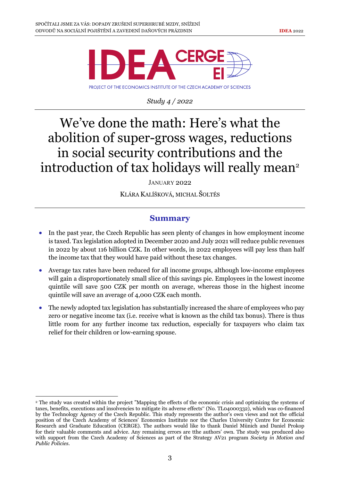

*Study 4 / 2022*

## We've done the math: Here's what the abolition of super-gross wages, reductions in social security contributions and the introduction of tax holidays will really mean<sup>2</sup>

JANUARY 2022

KLÁRA KALÍŠKOVÁ, MICHAL ŠOLTÉS

## **Summary**

- In the past year, the Czech Republic has seen plenty of changes in how employment income is taxed. Tax legislation adopted in December 2020 and July 2021 will reduce public revenues in 2022 by about 116 billion CZK. In other words, in 2022 employees will pay less than half the income tax that they would have paid without these tax changes.
- Average tax rates have been reduced for all income groups, although low-income employees will gain a disproportionately small slice of this savings pie. Employees in the lowest income quintile will save 500 CZK per month on average, whereas those in the highest income quintile will save an average of 4,000 CZK each month.
- The newly adopted tax legislation has substantially increased the share of employees who pay zero or negative income tax (i.e. receive what is known as the child tax bonus). There is thus little room for any further income tax reduction, especially for taxpayers who claim tax relief for their children or low-earning spouse.

<sup>2</sup> The study was created within the project "Mapping the effects of the economic crisis and optimizing the systems of taxes, benefits, executions and insolvencies to mitigate its adverse effects" (No. TL04000332), which was co-financed by the Technology Agency of the Czech Republic. This study represents the author's own views and not the official position of the Czech Academy of Sciences' Economics Institute nor the Charles University Centre for Economic Research and Graduate Education (CERGE). The authors would like to thank Daniel Münich and Daniel Prokop for their valuable comments and advice. Any remaining errors are tthe authors' own. The study was produced also with support from the Czech Academy of Sciences as part of the Strategy AV21 program *Society in Motion and Public Policies*.